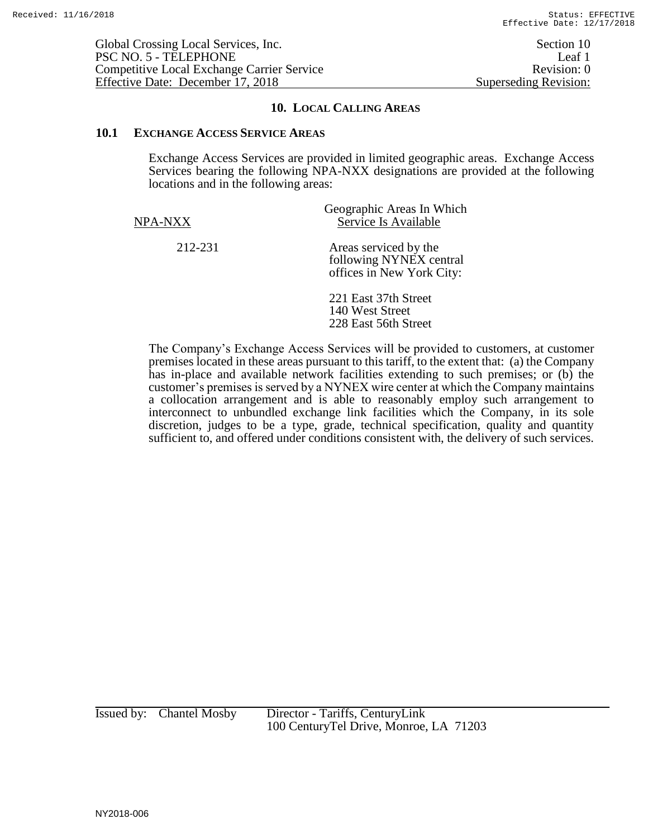## **10. LOCAL CALLING AREAS**

## **10.1 EXCHANGE ACCESS SERVICE AREAS**

Exchange Access Services are provided in limited geographic areas. Exchange Access Services bearing the following NPA-NXX designations are provided at the following locations and in the following areas:

| NPA-NXX | Geographic Areas In Which<br>Service Is Available                             |
|---------|-------------------------------------------------------------------------------|
| 212-231 | Areas serviced by the<br>following NYNEX central<br>offices in New York City: |
|         | 221 East 37th Street<br>140 West Street<br>228 East 56th Street               |

The Company's Exchange Access Services will be provided to customers, at customer premises located in these areas pursuant to this tariff, to the extent that: (a) the Company has in-place and available network facilities extending to such premises; or (b) the customer's premises is served by a NYNEX wire center at which the Company maintains a collocation arrangement and is able to reasonably employ such arrangement to interconnect to unbundled exchange link facilities which the Company, in its sole discretion, judges to be a type, grade, technical specification, quality and quantity sufficient to, and offered under conditions consistent with, the delivery of such services.

Issued by: Chantel Mosby Director - Tariffs, CenturyLink 100 CenturyTel Drive, Monroe, LA 71203